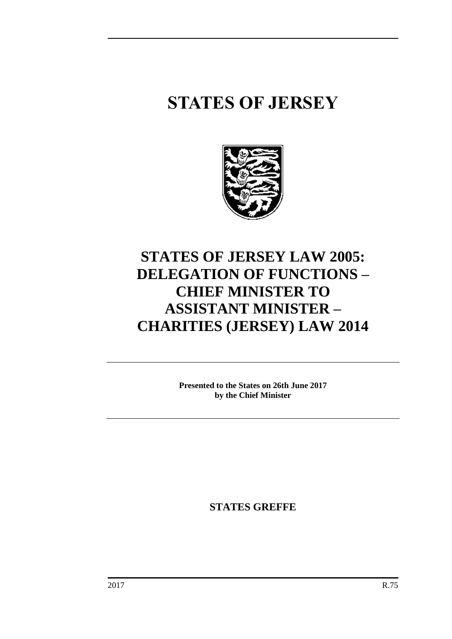# **STATES OF JERSEY**



## **STATES OF JERSEY LAW 2005: DELEGATION OF FUNCTIONS – CHIEF MINISTER TO ASSISTANT MINISTER – CHARITIES (JERSEY) LAW 2014**

**Presented to the States on 26th June 2017 by the Chief Minister**

**STATES GREFFE**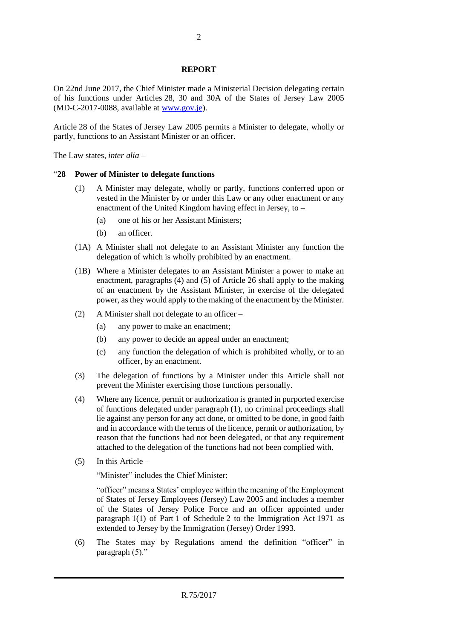#### **REPORT**

On 22nd June 2017, the Chief Minister made a Ministerial Decision delegating certain of his functions under Articles 28, 30 and 30A of the States of Jersey Law 2005 (MD-C-2017-0088, available at [www.gov.je\)](http://www.gov.je/).

Article 28 of the States of Jersey Law 2005 permits a Minister to delegate, wholly or partly, functions to an Assistant Minister or an officer.

The Law states, *inter alia* –

#### "**28 Power of Minister to delegate functions**

- (1) A Minister may delegate, wholly or partly, functions conferred upon or vested in the Minister by or under this Law or any other enactment or any enactment of the United Kingdom having effect in Jersey, to –
	- (a) one of his or her Assistant Ministers;
	- (b) an officer.
- (1A) A Minister shall not delegate to an Assistant Minister any function the delegation of which is wholly prohibited by an enactment.
- (1B) Where a Minister delegates to an Assistant Minister a power to make an enactment, paragraphs (4) and (5) of Article 26 shall apply to the making of an enactment by the Assistant Minister, in exercise of the delegated power, as they would apply to the making of the enactment by the Minister.
- (2) A Minister shall not delegate to an officer
	- (a) any power to make an enactment;
	- (b) any power to decide an appeal under an enactment;
	- (c) any function the delegation of which is prohibited wholly, or to an officer, by an enactment.
- (3) The delegation of functions by a Minister under this Article shall not prevent the Minister exercising those functions personally.
- (4) Where any licence, permit or authorization is granted in purported exercise of functions delegated under paragraph (1), no criminal proceedings shall lie against any person for any act done, or omitted to be done, in good faith and in accordance with the terms of the licence, permit or authorization, by reason that the functions had not been delegated, or that any requirement attached to the delegation of the functions had not been complied with.
- (5) In this Article –

"Minister" includes the Chief Minister;

"officer" means a States' employee within the meaning of the Employment of States of Jersey Employees (Jersey) Law 2005 and includes a member of the States of Jersey Police Force and an officer appointed under paragraph 1(1) of Part 1 of Schedule 2 to the Immigration Act 1971 as extended to Jersey by the Immigration (Jersey) Order 1993.

(6) The States may by Regulations amend the definition "officer" in paragraph (5)."